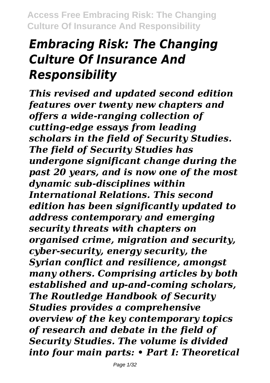# *Embracing Risk: The Changing Culture Of Insurance And Responsibility*

*This revised and updated second edition features over twenty new chapters and offers a wide-ranging collection of cutting-edge essays from leading scholars in the field of Security Studies. The field of Security Studies has undergone significant change during the past 20 years, and is now one of the most dynamic sub-disciplines within International Relations. This second edition has been significantly updated to address contemporary and emerging security threats with chapters on organised crime, migration and security, cyber-security, energy security, the Syrian conflict and resilience, amongst many others. Comprising articles by both established and up-and-coming scholars, The Routledge Handbook of Security Studies provides a comprehensive overview of the key contemporary topics of research and debate in the field of Security Studies. The volume is divided into four main parts: • Part I: Theoretical*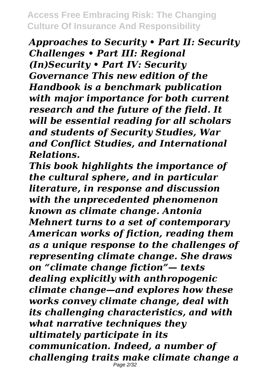*Approaches to Security • Part II: Security Challenges • Part III: Regional (In)Security • Part IV: Security Governance This new edition of the Handbook is a benchmark publication with major importance for both current research and the future of the field. It will be essential reading for all scholars and students of Security Studies, War and Conflict Studies, and International Relations.*

*This book highlights the importance of the cultural sphere, and in particular literature, in response and discussion with the unprecedented phenomenon known as climate change. Antonia Mehnert turns to a set of contemporary American works of fiction, reading them as a unique response to the challenges of representing climate change. She draws on "climate change fiction"— texts dealing explicitly with anthropogenic climate change—and explores how these works convey climate change, deal with its challenging characteristics, and with what narrative techniques they ultimately participate in its communication. Indeed, a number of challenging traits make climate change a* Page 2/32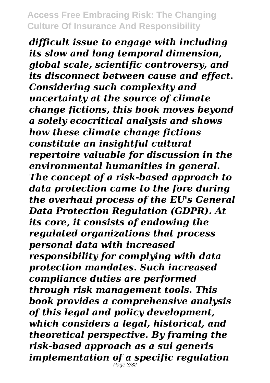*difficult issue to engage with including its slow and long temporal dimension, global scale, scientific controversy, and its disconnect between cause and effect. Considering such complexity and uncertainty at the source of climate change fictions, this book moves beyond a solely ecocritical analysis and shows how these climate change fictions constitute an insightful cultural repertoire valuable for discussion in the environmental humanities in general. The concept of a risk-based approach to data protection came to the fore during the overhaul process of the EU's General Data Protection Regulation (GDPR). At its core, it consists of endowing the regulated organizations that process personal data with increased responsibility for complying with data protection mandates. Such increased compliance duties are performed through risk management tools. This book provides a comprehensive analysis of this legal and policy development, which considers a legal, historical, and theoretical perspective. By framing the risk-based approach as a sui generis implementation of a specific regulation* Page 3/32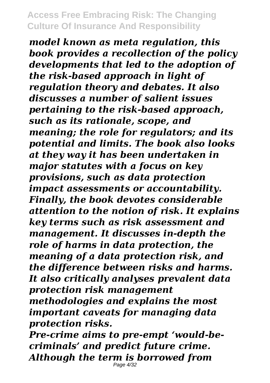*model known as meta regulation, this book provides a recollection of the policy developments that led to the adoption of the risk-based approach in light of regulation theory and debates. It also discusses a number of salient issues pertaining to the risk-based approach, such as its rationale, scope, and meaning; the role for regulators; and its potential and limits. The book also looks at they way it has been undertaken in major statutes with a focus on key provisions, such as data protection impact assessments or accountability. Finally, the book devotes considerable attention to the notion of risk. It explains key terms such as risk assessment and management. It discusses in-depth the role of harms in data protection, the meaning of a data protection risk, and the difference between risks and harms. It also critically analyses prevalent data protection risk management methodologies and explains the most important caveats for managing data protection risks.*

*Pre-crime aims to pre-empt 'would-becriminals' and predict future crime. Although the term is borrowed from* Page 4/32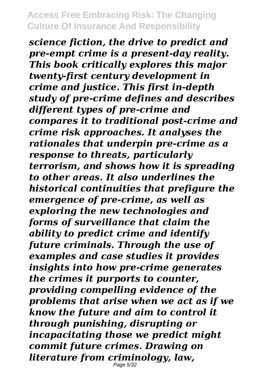*science fiction, the drive to predict and pre-empt crime is a present-day reality. This book critically explores this major twenty-first century development in crime and justice. This first in-depth study of pre-crime defines and describes different types of pre-crime and compares it to traditional post-crime and crime risk approaches. It analyses the rationales that underpin pre-crime as a response to threats, particularly terrorism, and shows how it is spreading to other areas. It also underlines the historical continuities that prefigure the emergence of pre-crime, as well as exploring the new technologies and forms of surveillance that claim the ability to predict crime and identify future criminals. Through the use of examples and case studies it provides insights into how pre-crime generates the crimes it purports to counter, providing compelling evidence of the problems that arise when we act as if we know the future and aim to control it through punishing, disrupting or incapacitating those we predict might commit future crimes. Drawing on literature from criminology, law,*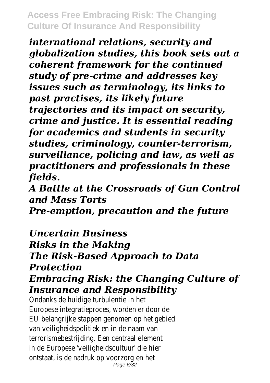*international relations, security and globalization studies, this book sets out a coherent framework for the continued study of pre-crime and addresses key issues such as terminology, its links to past practises, its likely future trajectories and its impact on security, crime and justice. It is essential reading for academics and students in security studies, criminology, counter-terrorism, surveillance, policing and law, as well as practitioners and professionals in these fields.*

*A Battle at the Crossroads of Gun Control and Mass Torts Pre-emption, precaution and the future*

*Uncertain Business Risks in the Making The Risk-Based Approach to Data Protection Embracing Risk: the Changing Culture of Insurance and Responsibility*

Ondanks de huidige turbulentie in h Europese integratieproces, worden er door EU belangrijke stappen genomen op het geb van veiligheidspolitiek en in de naam v terrorismebestrijding. Een centraal eleme in de Europese 'veiligheidscultuur' die h ontstaat, is de nadruk op voorzorg en h Page 6/32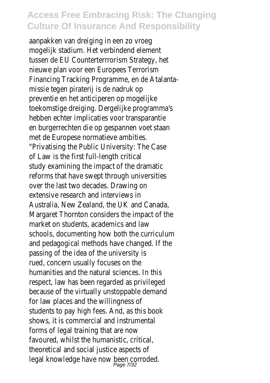aanpakken van dreiging in een zo vro mogelijk stadium. Het verbindend eleme tussen de EU Counterterrrorism Strategy, nieuwe plan voor een Europees Terrori Financing Tracking Programme, en de Atalan missie tegen piraterij is de nadruk preventie en het anticiperen op mogeli toekomstige dreiging. Dergelijke programm hebben echter implicaties voor transparanties en burgerrechten die op gespannen voet staan met de Europese normatieve ambitie "Privatising the Public University: The Case of Law is the first full-length criti study examining the impact of the dramatic reforms that have swept through universit over the last two decades. Drawing extensive research and interviews Australia, New Zealand, the UK and Cana Margaret Thornton considers the impact of market on students, academics and la schools, documenting how both the curricul and pedagogical methods have changed. If the passing of the idea of the university rued, concern usually focuses on t humanities and the natural sciences. In this respect, law has been regarded as priviled because of the virtually unstoppable dema for law places and the willingness students to pay high fees. And, as this book shows, it is commercial and instrument forms of legal training that are no favoured, whilst the humanistic, critic theoretical and social justice aspects legal knowledge have now been corrod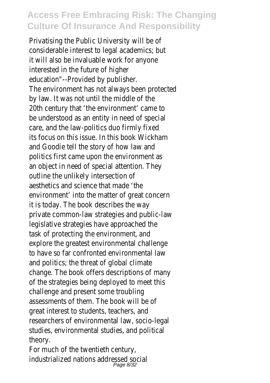Privatising the Public University will be considerable interest to legal academics; but it will also be invaluable work for anyon interested in the future of high education"--Provided by publisher The environment has not always been protect by law. It was not until the middle of 20th century that 'the environment' came be understood as an entity in need of specare, and the law-politics duo firmly fix its focus on this issue. In this book Wickh and Goodie tell the story of how law and politics first came upon the environment an object in need of special attention. The outline the unlikely intersection aesthetics and science that made 'the environment' into the matter of great concern it is today. The book describes the w private common-law strategies and publiclegislative strategies have approached the task of protecting the environment, and explore the greatest environmental challer to have so far confronted environmental l and politics; the threat of global climate change. The book offers descriptions of many of the strategies being deployed to meet to challenge and present some troubling assessments of them. The book will be great interest to students, teachers, and researchers of environmental law, socio-legal studies, environmental studies, and politically theory.

For much of the twentieth century industrialized nations addressed soc Page 8/32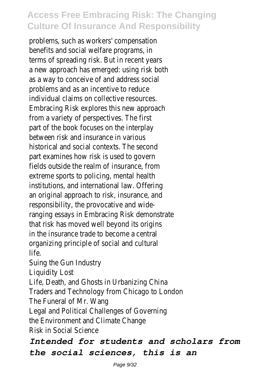problems, such as workers' compensation benefits and social welfare programs, terms of spreading risk. But in recent ye a new approach has emerged: using risk both as a way to conceive of and address soo problems and as an incentive to redu individual claims on collective resource Embracing Risk explores this new approachfrom a variety of perspectives. The fi part of the book focuses on the interp between risk and insurance in various historical and social contexts. The second part examines how risk is used to gove fields outside the realm of insurance, from extreme sports to policing, mental health institutions, and international law. Offer an original approach to risk, insurance, and responsibility, the provocative and wideranging essays in Embracing Risk demonstration that risk has moved well beyond its originate. in the insurance trade to become a cent organizing principle of social and cultural life. Suing the Gun Industr Liquidity Los Life, Death, and Ghosts in Urbanizing Ch Traders and Technology from Chicago to Lone The Funeral of Mr. War

Legal and Political Challenges of Governing

the Environment and Climate Chan

Risk in Social Science

#### *Intended for students and scholars from the social sciences, this is an*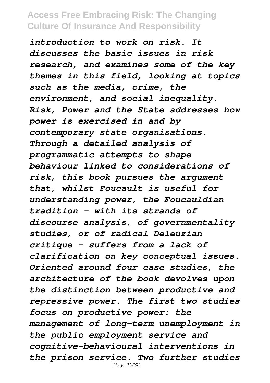*introduction to work on risk. It discusses the basic issues in risk research, and examines some of the key themes in this field, looking at topics such as the media, crime, the environment, and social inequality. Risk, Power and the State addresses how power is exercised in and by contemporary state organisations. Through a detailed analysis of programmatic attempts to shape behaviour linked to considerations of risk, this book pursues the argument that, whilst Foucault is useful for understanding power, the Foucauldian tradition – with its strands of discourse analysis, of governmentality studies, or of radical Deleuzian critique – suffers from a lack of clarification on key conceptual issues. Oriented around four case studies, the architecture of the book devolves upon the distinction between productive and repressive power. The first two studies focus on productive power: the management of long-term unemployment in the public employment service and cognitive-behavioural interventions in the prison service. Two further studies* Page 10/32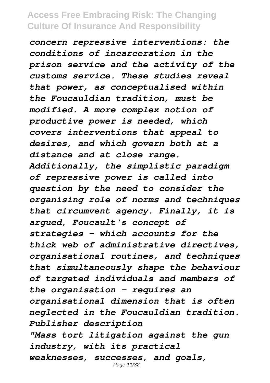*concern repressive interventions: the conditions of incarceration in the prison service and the activity of the customs service. These studies reveal that power, as conceptualised within the Foucauldian tradition, must be modified. A more complex notion of productive power is needed, which covers interventions that appeal to desires, and which govern both at a distance and at close range. Additionally, the simplistic paradigm of repressive power is called into question by the need to consider the organising role of norms and techniques that circumvent agency. Finally, it is argued, Foucault's concept of strategies – which accounts for the thick web of administrative directives, organisational routines, and techniques that simultaneously shape the behaviour of targeted individuals and members of the organisation – requires an organisational dimension that is often neglected in the Foucauldian tradition. Publisher description "Mass tort litigation against the gun industry, with its practical weaknesses, successes, and goals,* Page 11/32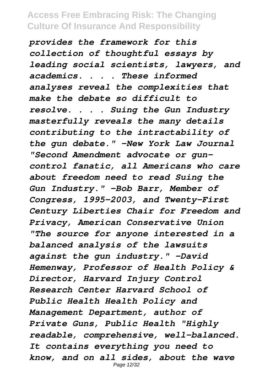*provides the framework for this collection of thoughtful essays by leading social scientists, lawyers, and academics. . . . These informed analyses reveal the complexities that make the debate so difficult to resolve. . . . Suing the Gun Industry masterfully reveals the many details contributing to the intractability of the gun debate." -New York Law Journal "Second Amendment advocate or guncontrol fanatic, all Americans who care about freedom need to read Suing the Gun Industry." -Bob Barr, Member of Congress, 1995-2003, and Twenty-First Century Liberties Chair for Freedom and Privacy, American Conservative Union "The source for anyone interested in a balanced analysis of the lawsuits against the gun industry." -David Hemenway, Professor of Health Policy & Director, Harvard Injury Control Research Center Harvard School of Public Health Health Policy and Management Department, author of Private Guns, Public Health "Highly readable, comprehensive, well-balanced. It contains everything you need to know, and on all sides, about the wave* Page 12/32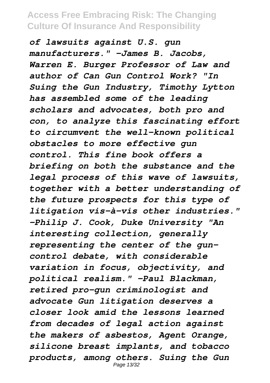*of lawsuits against U.S. gun manufacturers." -James B. Jacobs, Warren E. Burger Professor of Law and author of Can Gun Control Work? "In Suing the Gun Industry, Timothy Lytton has assembled some of the leading scholars and advocates, both pro and con, to analyze this fascinating effort to circumvent the well-known political obstacles to more effective gun control. This fine book offers a briefing on both the substance and the legal process of this wave of lawsuits, together with a better understanding of the future prospects for this type of litigation vis-à-vis other industries." -Philip J. Cook, Duke University "An interesting collection, generally representing the center of the guncontrol debate, with considerable variation in focus, objectivity, and political realism." -Paul Blackman, retired pro-gun criminologist and advocate Gun litigation deserves a closer look amid the lessons learned from decades of legal action against the makers of asbestos, Agent Orange, silicone breast implants, and tobacco products, among others. Suing the Gun* Page 13/32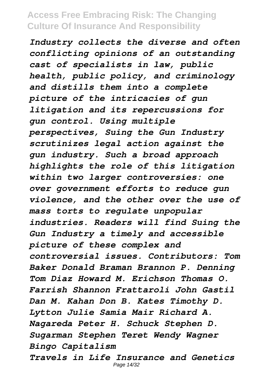*Industry collects the diverse and often conflicting opinions of an outstanding cast of specialists in law, public health, public policy, and criminology and distills them into a complete picture of the intricacies of gun litigation and its repercussions for gun control. Using multiple perspectives, Suing the Gun Industry scrutinizes legal action against the gun industry. Such a broad approach highlights the role of this litigation within two larger controversies: one over government efforts to reduce gun violence, and the other over the use of mass torts to regulate unpopular industries. Readers will find Suing the Gun Industry a timely and accessible picture of these complex and controversial issues. Contributors: Tom Baker Donald Braman Brannon P. Denning Tom Diaz Howard M. Erichson Thomas O. Farrish Shannon Frattaroli John Gastil Dan M. Kahan Don B. Kates Timothy D. Lytton Julie Samia Mair Richard A. Nagareda Peter H. Schuck Stephen D. Sugarman Stephen Teret Wendy Wagner Bingo Capitalism Travels in Life Insurance and Genetics* Page 14/32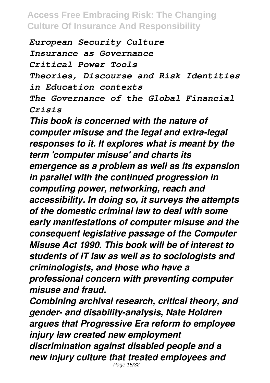*European Security Culture Insurance as Governance Critical Power Tools Theories, Discourse and Risk Identities in Education contexts The Governance of the Global Financial Crisis*

*This book is concerned with the nature of computer misuse and the legal and extra-legal responses to it. It explores what is meant by the term 'computer misuse' and charts its emergence as a problem as well as its expansion in parallel with the continued progression in computing power, networking, reach and accessibility. In doing so, it surveys the attempts of the domestic criminal law to deal with some early manifestations of computer misuse and the consequent legislative passage of the Computer Misuse Act 1990. This book will be of interest to students of IT law as well as to sociologists and criminologists, and those who have a professional concern with preventing computer misuse and fraud.*

*Combining archival research, critical theory, and gender- and disability-analysis, Nate Holdren argues that Progressive Era reform to employee injury law created new employment discrimination against disabled people and a new injury culture that treated employees and* Page 15/32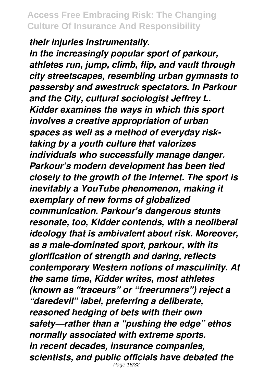*their injuries instrumentally.*

*In the increasingly popular sport of parkour, athletes run, jump, climb, flip, and vault through city streetscapes, resembling urban gymnasts to passersby and awestruck spectators. In Parkour and the City, cultural sociologist Jeffrey L. Kidder examines the ways in which this sport involves a creative appropriation of urban spaces as well as a method of everyday risktaking by a youth culture that valorizes individuals who successfully manage danger. Parkour's modern development has been tied closely to the growth of the internet. The sport is inevitably a YouTube phenomenon, making it exemplary of new forms of globalized communication. Parkour's dangerous stunts resonate, too, Kidder contends, with a neoliberal ideology that is ambivalent about risk. Moreover, as a male-dominated sport, parkour, with its glorification of strength and daring, reflects contemporary Western notions of masculinity. At the same time, Kidder writes, most athletes (known as "traceurs" or "freerunners") reject a "daredevil" label, preferring a deliberate, reasoned hedging of bets with their own safety—rather than a "pushing the edge" ethos normally associated with extreme sports. In recent decades, insurance companies, scientists, and public officials have debated the* Page 16/32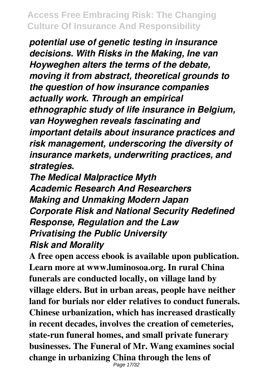*potential use of genetic testing in insurance decisions. With Risks in the Making, Ine van Hoyweghen alters the terms of the debate, moving it from abstract, theoretical grounds to the question of how insurance companies actually work. Through an empirical ethnographic study of life insurance in Belgium, van Hoyweghen reveals fascinating and important details about insurance practices and risk management, underscoring the diversity of insurance markets, underwriting practices, and strategies.*

*The Medical Malpractice Myth Academic Research And Researchers Making and Unmaking Modern Japan Corporate Risk and National Security Redefined Response, Regulation and the Law Privatising the Public University Risk and Morality*

**A free open access ebook is available upon publication. Learn more at www.luminosoa.org. In rural China funerals are conducted locally, on village land by village elders. But in urban areas, people have neither land for burials nor elder relatives to conduct funerals. Chinese urbanization, which has increased drastically in recent decades, involves the creation of cemeteries, state-run funeral homes, and small private funerary businesses. The Funeral of Mr. Wang examines social change in urbanizing China through the lens of** Page 17/32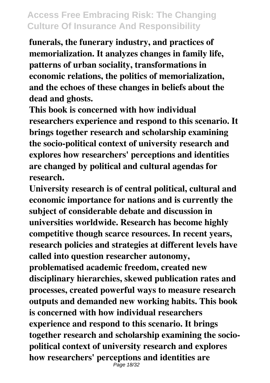**funerals, the funerary industry, and practices of memorialization. It analyzes changes in family life, patterns of urban sociality, transformations in economic relations, the politics of memorialization, and the echoes of these changes in beliefs about the dead and ghosts.**

**This book is concerned with how individual researchers experience and respond to this scenario. It brings together research and scholarship examining the socio-political context of university research and explores how researchers' perceptions and identities are changed by political and cultural agendas for research.**

**University research is of central political, cultural and economic importance for nations and is currently the subject of considerable debate and discussion in universities worldwide. Research has become highly competitive though scarce resources. In recent years, research policies and strategies at different levels have called into question researcher autonomy, problematised academic freedom, created new disciplinary hierarchies, skewed publication rates and processes, created powerful ways to measure research outputs and demanded new working habits. This book is concerned with how individual researchers experience and respond to this scenario. It brings together research and scholarship examining the sociopolitical context of university research and explores how researchers' perceptions and identities are** Page 18/32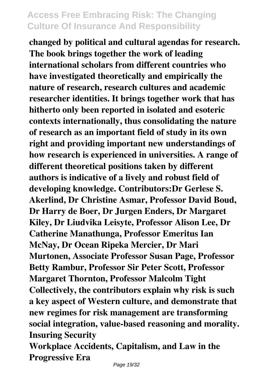**changed by political and cultural agendas for research. The book brings together the work of leading international scholars from different countries who have investigated theoretically and empirically the nature of research, research cultures and academic researcher identities. It brings together work that has hitherto only been reported in isolated and esoteric contexts internationally, thus consolidating the nature of research as an important field of study in its own right and providing important new understandings of how research is experienced in universities. A range of different theoretical positions taken by different authors is indicative of a lively and robust field of developing knowledge. Contributors:Dr Gerlese S. Akerlind, Dr Christine Asmar, Professor David Boud, Dr Harry de Boer, Dr Jurgen Enders, Dr Margaret Kiley, Dr Liudvika Leisyte, Professor Alison Lee, Dr Catherine Manathunga, Professor Emeritus Ian McNay, Dr Ocean Ripeka Mercier, Dr Mari Murtonen, Associate Professor Susan Page, Professor Betty Rambur, Professor Sir Peter Scott, Professor Margaret Thornton, Professor Malcolm Tight Collectively, the contributors explain why risk is such a key aspect of Western culture, and demonstrate that new regimes for risk management are transforming social integration, value-based reasoning and morality. Insuring Security**

**Workplace Accidents, Capitalism, and Law in the Progressive Era**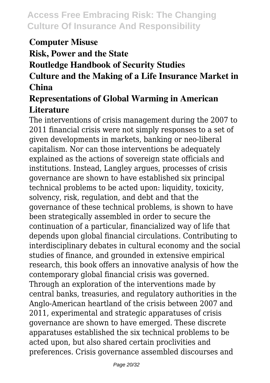#### **Computer Misuse**

**Risk, Power and the State**

#### **Routledge Handbook of Security Studies**

#### **Culture and the Making of a Life Insurance Market in China**

#### **Representations of Global Warming in American Literature**

The interventions of crisis management during the 2007 to 2011 financial crisis were not simply responses to a set of given developments in markets, banking or neo-liberal capitalism. Nor can those interventions be adequately explained as the actions of sovereign state officials and institutions. Instead, Langley argues, processes of crisis governance are shown to have established six principal technical problems to be acted upon: liquidity, toxicity, solvency, risk, regulation, and debt and that the governance of these technical problems, is shown to have been strategically assembled in order to secure the continuation of a particular, financialized way of life that depends upon global financial circulations. Contributing to interdisciplinary debates in cultural economy and the social studies of finance, and grounded in extensive empirical research, this book offers an innovative analysis of how the contemporary global financial crisis was governed. Through an exploration of the interventions made by central banks, treasuries, and regulatory authorities in the Anglo-American heartland of the crisis between 2007 and 2011, experimental and strategic apparatuses of crisis governance are shown to have emerged. These discrete apparatuses established the six technical problems to be acted upon, but also shared certain proclivities and preferences. Crisis governance assembled discourses and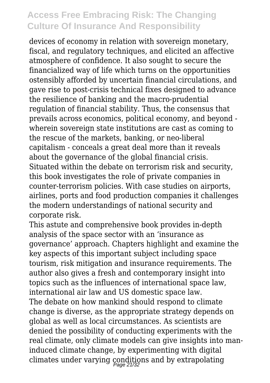devices of economy in relation with sovereign monetary, fiscal, and regulatory techniques, and elicited an affective atmosphere of confidence. It also sought to secure the financialized way of life which turns on the opportunities ostensibly afforded by uncertain financial circulations, and gave rise to post-crisis technical fixes designed to advance the resilience of banking and the macro-prudential regulation of financial stability. Thus, the consensus that prevails across economics, political economy, and beyond wherein sovereign state institutions are cast as coming to the rescue of the markets, banking, or neo-liberal capitalism - conceals a great deal more than it reveals about the governance of the global financial crisis. Situated within the debate on terrorism risk and security, this book investigates the role of private companies in counter-terrorism policies. With case studies on airports, airlines, ports and food production companies it challenges the modern understandings of national security and corporate risk.

This astute and comprehensive book provides in-depth analysis of the space sector with an 'insurance as governance' approach. Chapters highlight and examine the key aspects of this important subject including space tourism, risk mitigation and insurance requirements. The author also gives a fresh and contemporary insight into topics such as the influences of international space law, international air law and US domestic space law. The debate on how mankind should respond to climate change is diverse, as the appropriate strategy depends on global as well as local circumstances. As scientists are denied the possibility of conducting experiments with the real climate, only climate models can give insights into maninduced climate change, by experimenting with digital climates under varying conditions and by extrapolating Page 21/32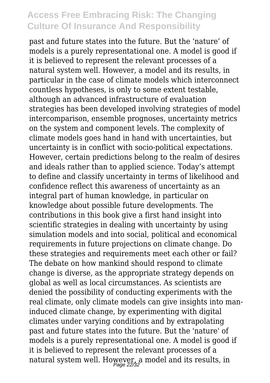past and future states into the future. But the 'nature' of models is a purely representational one. A model is good if it is believed to represent the relevant processes of a natural system well. However, a model and its results, in particular in the case of climate models which interconnect countless hypotheses, is only to some extent testable, although an advanced infrastructure of evaluation strategies has been developed involving strategies of model intercomparison, ensemble prognoses, uncertainty metrics on the system and component levels. The complexity of climate models goes hand in hand with uncertainties, but uncertainty is in conflict with socio-political expectations. However, certain predictions belong to the realm of desires and ideals rather than to applied science. Today's attempt to define and classify uncertainty in terms of likelihood and confidence reflect this awareness of uncertainty as an integral part of human knowledge, in particular on knowledge about possible future developments. The contributions in this book give a first hand insight into scientific strategies in dealing with uncertainty by using simulation models and into social, political and economical requirements in future projections on climate change. Do these strategies and requirements meet each other or fail? The debate on how mankind should respond to climate change is diverse, as the appropriate strategy depends on global as well as local circumstances. As scientists are denied the possibility of conducting experiments with the real climate, only climate models can give insights into maninduced climate change, by experimenting with digital climates under varying conditions and by extrapolating past and future states into the future. But the 'nature' of models is a purely representational one. A model is good if it is believed to represent the relevant processes of a natural system well. However, a model and its results, in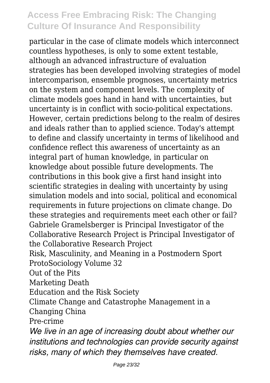particular in the case of climate models which interconnect countless hypotheses, is only to some extent testable, although an advanced infrastructure of evaluation strategies has been developed involving strategies of model intercomparison, ensemble prognoses, uncertainty metrics on the system and component levels. The complexity of climate models goes hand in hand with uncertainties, but uncertainty is in conflict with socio-political expectations. However, certain predictions belong to the realm of desires and ideals rather than to applied science. Today's attempt to define and classify uncertainty in terms of likelihood and confidence reflect this awareness of uncertainty as an integral part of human knowledge, in particular on knowledge about possible future developments. The contributions in this book give a first hand insight into scientific strategies in dealing with uncertainty by using simulation models and into social, political and economical requirements in future projections on climate change. Do these strategies and requirements meet each other or fail? Gabriele Gramelsberger is Principal Investigator of the Collaborative Research Project is Principal Investigator of the Collaborative Research Project Risk, Masculinity, and Meaning in a Postmodern Sport ProtoSociology Volume 32 Out of the Pits Marketing Death Education and the Risk Society Climate Change and Catastrophe Management in a Changing China Pre-crime *We live in an age of increasing doubt about whether our institutions and technologies can provide security against*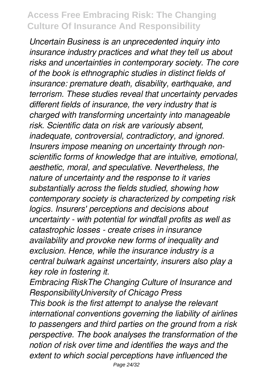*Uncertain Business is an unprecedented inquiry into insurance industry practices and what they tell us about risks and uncertainties in contemporary society. The core of the book is ethnographic studies in distinct fields of insurance: premature death, disability, earthquake, and terrorism. These studies reveal that uncertainty pervades different fields of insurance, the very industry that is charged with transforming uncertainty into manageable risk. Scientific data on risk are variously absent, inadequate, controversial, contradictory, and ignored. Insurers impose meaning on uncertainty through nonscientific forms of knowledge that are intuitive, emotional, aesthetic, moral, and speculative. Nevertheless, the nature of uncertainty and the response to it varies substantially across the fields studied, showing how contemporary society is characterized by competing risk logics. Insurers' perceptions and decisions about uncertainty - with potential for windfall profits as well as catastrophic losses - create crises in insurance availability and provoke new forms of inequality and exclusion. Hence, while the insurance industry is a central bulwark against uncertainty, insurers also play a key role in fostering it.*

*Embracing RiskThe Changing Culture of Insurance and ResponsibilityUniversity of Chicago Press*

*This book is the first attempt to analyse the relevant international conventions governing the liability of airlines to passengers and third parties on the ground from a risk perspective. The book analyses the transformation of the notion of risk over time and identifies the ways and the extent to which social perceptions have influenced the*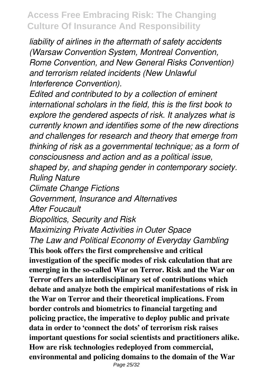*liability of airlines in the aftermath of safety accidents (Warsaw Convention System, Montreal Convention, Rome Convention, and New General Risks Convention) and terrorism related incidents (New Unlawful Interference Convention).*

*Edited and contributed to by a collection of eminent international scholars in the field, this is the first book to explore the gendered aspects of risk. It analyzes what is currently known and identifies some of the new directions and challenges for research and theory that emerge from thinking of risk as a governmental technique; as a form of consciousness and action and as a political issue,*

*shaped by, and shaping gender in contemporary society. Ruling Nature*

*Climate Change Fictions*

*Government, Insurance and Alternatives*

*After Foucault*

*Biopolitics, Security and Risk*

*Maximizing Private Activities in Outer Space The Law and Political Economy of Everyday Gambling*

**This book offers the first comprehensive and critical investigation of the specific modes of risk calculation that are emerging in the so-called War on Terror. Risk and the War on Terror offers an interdisciplinary set of contributions which debate and analyze both the empirical manifestations of risk in the War on Terror and their theoretical implications. From border controls and biometrics to financial targeting and policing practice, the imperative to deploy public and private data in order to 'connect the dots' of terrorism risk raises important questions for social scientists and practitioners alike. How are risk technologies redeployed from commercial, environmental and policing domains to the domain of the War**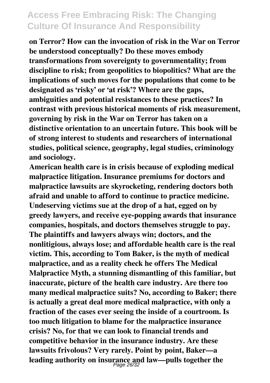**on Terror? How can the invocation of risk in the War on Terror be understood conceptually? Do these moves embody transformations from sovereignty to governmentality; from discipline to risk; from geopolitics to biopolitics? What are the implications of such moves for the populations that come to be designated as 'risky' or 'at risk'? Where are the gaps, ambiguities and potential resistances to these practices? In contrast with previous historical moments of risk measurement, governing by risk in the War on Terror has taken on a distinctive orientation to an uncertain future. This book will be of strong interest to students and researchers of international studies, political science, geography, legal studies, criminology and sociology.**

**American health care is in crisis because of exploding medical malpractice litigation. Insurance premiums for doctors and malpractice lawsuits are skyrocketing, rendering doctors both afraid and unable to afford to continue to practice medicine. Undeserving victims sue at the drop of a hat, egged on by greedy lawyers, and receive eye-popping awards that insurance companies, hospitals, and doctors themselves struggle to pay. The plaintiffs and lawyers always win; doctors, and the nonlitigious, always lose; and affordable health care is the real victim. This, according to Tom Baker, is the myth of medical malpractice, and as a reality check he offers The Medical Malpractice Myth, a stunning dismantling of this familiar, but inaccurate, picture of the health care industry. Are there too many medical malpractice suits? No, according to Baker; there is actually a great deal more medical malpractice, with only a fraction of the cases ever seeing the inside of a courtroom. Is too much litigation to blame for the malpractice insurance crisis? No, for that we can look to financial trends and competitive behavior in the insurance industry. Are these lawsuits frivolous? Very rarely. Point by point, Baker—a leading authority on insurance and law—pulls together the** Page 26/32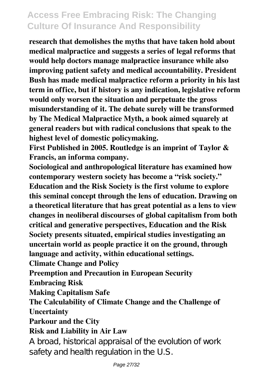**research that demolishes the myths that have taken hold about medical malpractice and suggests a series of legal reforms that would help doctors manage malpractice insurance while also improving patient safety and medical accountability. President Bush has made medical malpractice reform a priority in his last term in office, but if history is any indication, legislative reform would only worsen the situation and perpetuate the gross misunderstanding of it. The debate surely will be transformed by The Medical Malpractice Myth, a book aimed squarely at general readers but with radical conclusions that speak to the highest level of domestic policymaking.**

**First Published in 2005. Routledge is an imprint of Taylor & Francis, an informa company.**

**Sociological and anthropological literature has examined how contemporary western society has become a "risk society." Education and the Risk Society is the first volume to explore this seminal concept through the lens of education. Drawing on a theoretical literature that has great potential as a lens to view changes in neoliberal discourses of global capitalism from both critical and generative perspectives, Education and the Risk Society presents situated, empirical studies investigating an uncertain world as people practice it on the ground, through language and activity, within educational settings.**

**Climate Change and Policy**

**Preemption and Precaution in European Security**

**Embracing Risk**

**Making Capitalism Safe**

**The Calculability of Climate Change and the Challenge of Uncertainty**

**Parkour and the City**

#### **Risk and Liability in Air Law**

A broad, historical appraisal of the evolution of work safety and health regulation in the U.S.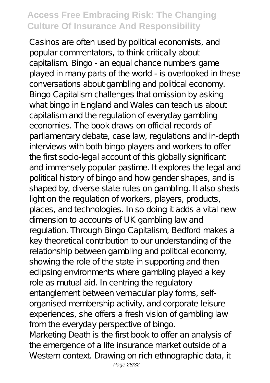Casinos are often used by political economists, and popular commentators, to think critically about capitalism. Bingo - an equal chance numbers game played in many parts of the world - is overlooked in these conversations about gambling and political economy. Bingo Capitalism challenges that omission by asking what bingo in England and Wales can teach us about capitalism and the regulation of everyday gambling economies. The book draws on official records of parliamentary debate, case law, regulations and in-depth interviews with both bingo players and workers to offer the first socio-legal account of this globally significant and immensely popular pastime. It explores the legal and political history of bingo and how gender shapes, and is shaped by, diverse state rules on gambling. It also sheds light on the regulation of workers, players, products, places, and technologies. In so doing it adds a vital new dimension to accounts of UK gambling law and regulation. Through Bingo Capitalism, Bedford makes a key theoretical contribution to our understanding of the relationship between gambling and political economy, showing the role of the state in supporting and then eclipsing environments where gambling played a key role as mutual aid. In centring the regulatory entanglement between vernacular play forms, selforganised membership activity, and corporate leisure experiences, she offers a fresh vision of gambling law from the everyday perspective of bingo. Marketing Death is the first book to offer an analysis of the emergence of a life insurance market outside of a Western context. Drawing on rich ethnographic data, it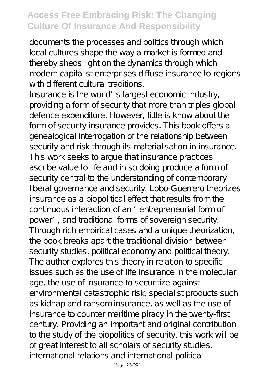documents the processes and politics through which local cultures shape the way a market is formed and thereby sheds light on the dynamics through which modern capitalist enterprises diffuse insurance to regions with different cultural traditions.

Insurance is the world's largest economic industry, providing a form of security that more than triples global defence expenditure. However, little is know about the form of security insurance provides. This book offers a genealogical interrogation of the relationship between security and risk through its materialisation in insurance. This work seeks to argue that insurance practices ascribe value to life and in so doing produce a form of security central to the understanding of contemporary liberal governance and security. Lobo-Guerrero theorizes insurance as a biopolitical effect that results from the continuous interaction of an 'entrepreneurial form of power', and traditional forms of sovereign security. Through rich empirical cases and a unique theorization, the book breaks apart the traditional division between security studies, political economy and political theory. The author explores this theory in relation to specific issues such as the use of life insurance in the molecular age, the use of insurance to securitize against environmental catastrophic risk, specialist products such as kidnap and ransom insurance, as well as the use of insurance to counter maritime piracy in the twenty-first century. Providing an important and original contribution to the study of the biopolitics of security, this work will be of great interest to all scholars of security studies, international relations and international political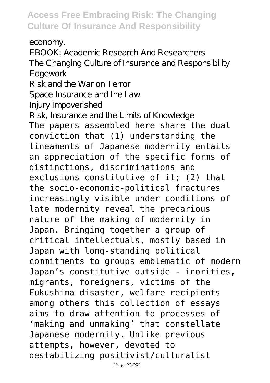economy.

EBOOK: Academic Research And Researchers The Changing Culture of Insurance and Responsibility Edgework

Risk and the War on Terror

Space Insurance and the Law

Injury Impoverished

Risk, Insurance and the Limits of Knowledge

The papers assembled here share the dual conviction that (1) understanding the lineaments of Japanese modernity entails an appreciation of the specific forms of distinctions, discriminations and exclusions constitutive of it; (2) that the socio-economic-political fractures increasingly visible under conditions of late modernity reveal the precarious nature of the making of modernity in Japan. Bringing together a group of critical intellectuals, mostly based in Japan with long-standing political commitments to groups emblematic of modern Japan's constitutive outside - inorities, migrants, foreigners, victims of the Fukushima disaster, welfare recipients among others this collection of essays aims to draw attention to processes of 'making and unmaking' that constellate Japanese modernity. Unlike previous attempts, however, devoted to destabilizing positivist/culturalist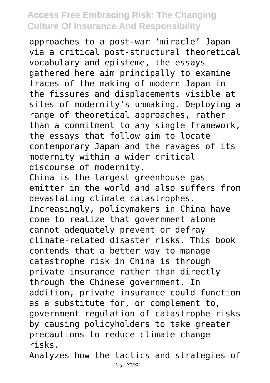approaches to a post-war 'miracle' Japan via a critical post-structural theoretical vocabulary and episteme, the essays gathered here aim principally to examine traces of the making of modern Japan in the fissures and displacements visible at sites of modernity's unmaking. Deploying a range of theoretical approaches, rather than a commitment to any single framework, the essays that follow aim to locate contemporary Japan and the ravages of its modernity within a wider critical discourse of modernity. China is the largest greenhouse gas emitter in the world and also suffers from devastating climate catastrophes. Increasingly, policymakers in China have come to realize that government alone cannot adequately prevent or defray climate-related disaster risks. This book contends that a better way to manage catastrophe risk in China is through private insurance rather than directly through the Chinese government. In addition, private insurance could function as a substitute for, or complement to, government regulation of catastrophe risks by causing policyholders to take greater precautions to reduce climate change risks.

Analyzes how the tactics and strategies of Page 31/32